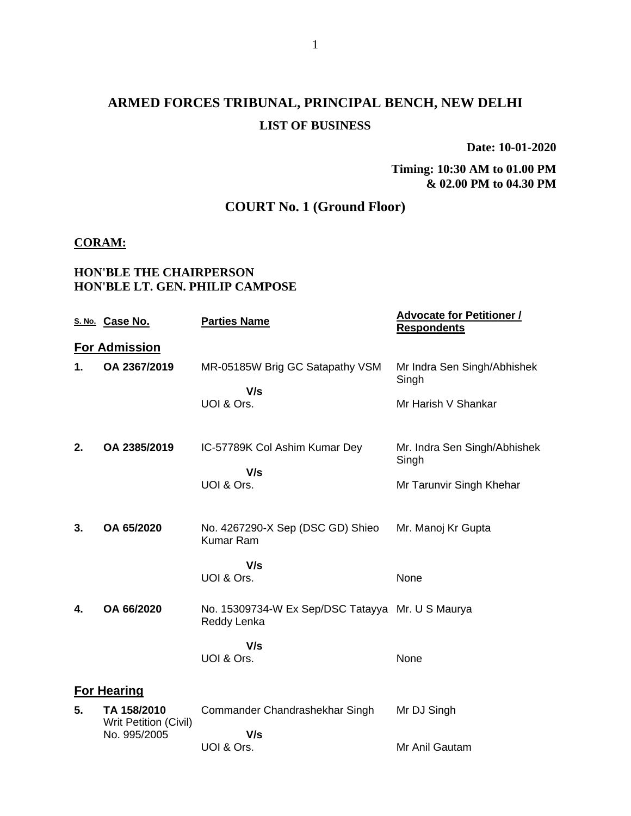# **ARMED FORCES TRIBUNAL, PRINCIPAL BENCH, NEW DELHI LIST OF BUSINESS**

**Date: 10-01-2020**

#### **Timing: 10:30 AM to 01.00 PM & 02.00 PM to 04.30 PM**

## **COURT No. 1 (Ground Floor)**

#### **CORAM:**

#### **HON'BLE THE CHAIRPERSON HON'BLE LT. GEN. PHILIP CAMPOSE**

|    | S. No. Case No.                             | <b>Parties Name</b>                                             | <b>Advocate for Petitioner /</b><br><b>Respondents</b> |
|----|---------------------------------------------|-----------------------------------------------------------------|--------------------------------------------------------|
|    | <b>For Admission</b>                        |                                                                 |                                                        |
| 1. | OA 2367/2019                                | MR-05185W Brig GC Satapathy VSM                                 | Mr Indra Sen Singh/Abhishek<br>Singh                   |
|    |                                             | V/s<br>UOI & Ors.                                               | Mr Harish V Shankar                                    |
| 2. | OA 2385/2019                                | IC-57789K Col Ashim Kumar Dey<br>V/s                            | Mr. Indra Sen Singh/Abhishek<br>Singh                  |
|    |                                             | UOI & Ors.                                                      | Mr Tarunvir Singh Khehar                               |
| 3. | OA 65/2020                                  | No. 4267290-X Sep (DSC GD) Shieo<br>Kumar Ram                   | Mr. Manoj Kr Gupta                                     |
|    |                                             | V/s<br>UOI & Ors.                                               | None                                                   |
| 4. | OA 66/2020                                  | No. 15309734-W Ex Sep/DSC Tatayya Mr. U S Maurya<br>Reddy Lenka |                                                        |
|    |                                             | V/s<br>UOI & Ors.                                               | None                                                   |
|    | <b>For Hearing</b>                          |                                                                 |                                                        |
| 5. | TA 158/2010<br><b>Writ Petition (Civil)</b> | Commander Chandrashekhar Singh                                  | Mr DJ Singh                                            |
|    | No. 995/2005                                | V/s<br>UOI & Ors.                                               | Mr Anil Gautam                                         |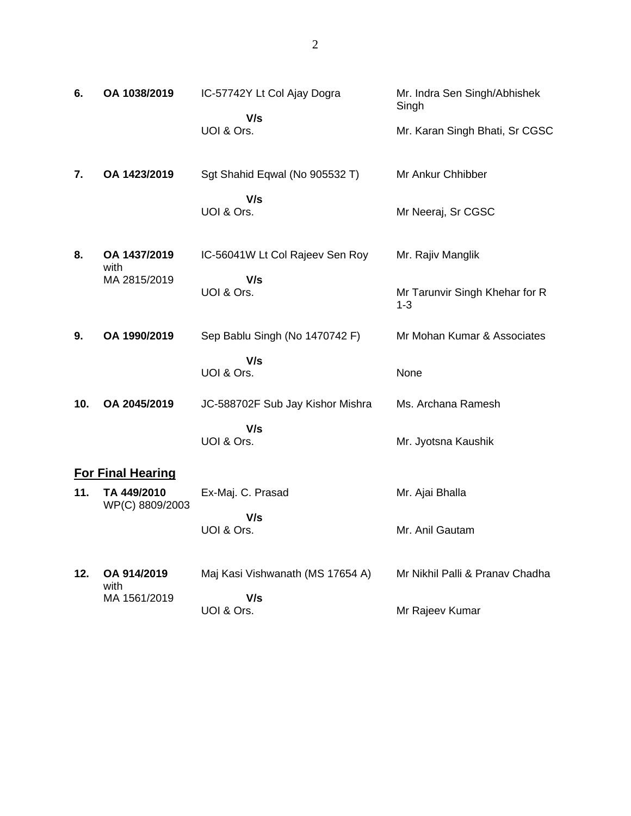| 6.  | OA 1038/2019                         | IC-57742Y Lt Col Ajay Dogra<br>V/s<br>UOI & Ors.     | Mr. Indra Sen Singh/Abhishek<br>Singh<br>Mr. Karan Singh Bhati, Sr CGSC |
|-----|--------------------------------------|------------------------------------------------------|-------------------------------------------------------------------------|
| 7.  | OA 1423/2019                         | Sgt Shahid Eqwal (No 905532 T)<br>V/s<br>UOI & Ors.  | Mr Ankur Chhibber<br>Mr Neeraj, Sr CGSC                                 |
| 8.  | OA 1437/2019<br>with<br>MA 2815/2019 | IC-56041W Lt Col Rajeev Sen Roy<br>V/s<br>UOI & Ors. | Mr. Rajiv Manglik<br>Mr Tarunvir Singh Khehar for R<br>$1 - 3$          |
| 9.  | OA 1990/2019                         | Sep Bablu Singh (No 1470742 F)                       | Mr Mohan Kumar & Associates                                             |
|     |                                      | V/s<br>UOI & Ors.                                    | None                                                                    |
| 10. | OA 2045/2019                         | JC-588702F Sub Jay Kishor Mishra                     | Ms. Archana Ramesh                                                      |
|     |                                      | V/s<br>UOI & Ors.                                    | Mr. Jyotsna Kaushik                                                     |
|     | <b>For Final Hearing</b>             |                                                      |                                                                         |
| 11. | TA 449/2010<br>WP(C) 8809/2003       | Ex-Maj. C. Prasad                                    | Mr. Ajai Bhalla                                                         |
|     |                                      | V/s<br>UOI & Ors.                                    | Mr. Anil Gautam                                                         |
|     |                                      |                                                      |                                                                         |

**12. OA 914/2019** with MA 1561/2019 Maj Kasi Vishwanath (MS 17654 A)  **V/s** UOI & Ors. Mr Nikhil Palli & Pranav Chadha Mr Rajeev Kumar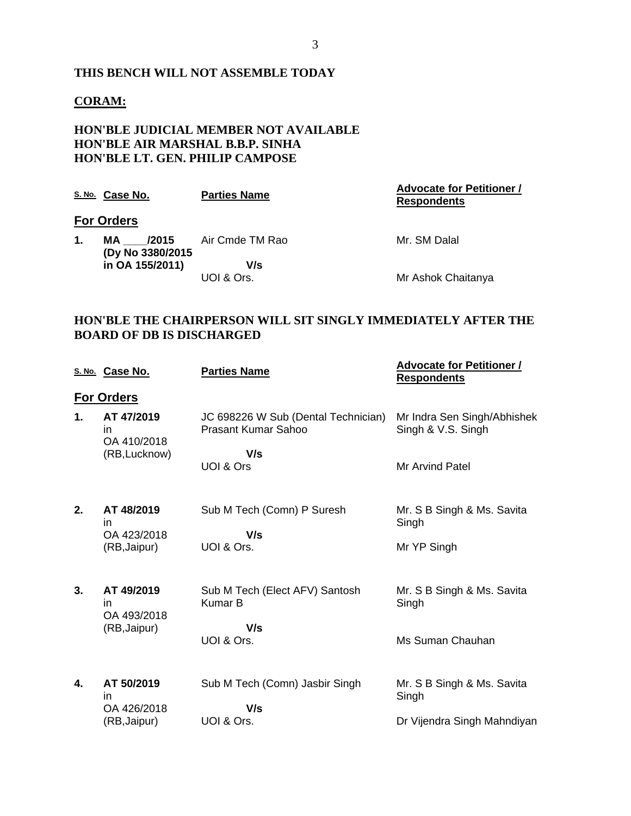#### **THIS BENCH WILL NOT ASSEMBLE TODAY**

#### **CORAM:**

#### **HON'BLE JUDICIAL MEMBER NOT AVAILABLE HON'BLE AIR MARSHAL B.B.P. SINHA HON'BLE LT. GEN. PHILIP CAMPOSE**

|    | S. No. Case No.                   | <b>Parties Name</b> | <b>Advocate for Petitioner /</b><br><b>Respondents</b> |
|----|-----------------------------------|---------------------|--------------------------------------------------------|
|    | <b>For Orders</b>                 |                     |                                                        |
| 1. | /2015<br>MA.<br>(Dy No 3380/2015) | Air Cmde TM Rao     | Mr. SM Dalal                                           |
|    | in OA 155/2011)                   | V/s<br>UOI & Ors.   | Mr Ashok Chaitanya                                     |

#### **HON'BLE THE CHAIRPERSON WILL SIT SINGLY IMMEDIATELY AFTER THE BOARD OF DB IS DISCHARGED**

|                | S. No. Case No.                                        | <b>Parties Name</b>                                        | <u><b>Advocate for Petitioner /</b></u><br><b>Respondents</b> |
|----------------|--------------------------------------------------------|------------------------------------------------------------|---------------------------------------------------------------|
|                | <b>For Orders</b>                                      |                                                            |                                                               |
| 1.             | AT 47/2019<br><i>in</i><br>OA 410/2018                 | JC 698226 W Sub (Dental Technician)<br>Prasant Kumar Sahoo | Mr Indra Sen Singh/Abhishek<br>Singh & V.S. Singh             |
|                | (RB, Lucknow)                                          | V/s<br>UOI & Ors                                           | Mr Arvind Patel                                               |
| 2.             | AT 48/2019<br>in.<br>OA 423/2018                       | Sub M Tech (Comn) P Suresh<br>V/s                          | Mr. S B Singh & Ms. Savita<br>Singh                           |
|                | (RB, Jaipur)                                           | UOI & Ors.                                                 | Mr YP Singh                                                   |
| 3 <sub>1</sub> | AT 49/2019<br><i>in</i><br>OA 493/2018<br>(RB, Jaipur) | Sub M Tech (Elect AFV) Santosh<br><b>Kumar B</b><br>V/s    | Mr. S B Singh & Ms. Savita<br>Singh                           |
|                |                                                        | UOI & Ors.                                                 | Ms Suman Chauhan                                              |
| 4.             | AT 50/2019<br>in<br>OA 426/2018                        | Sub M Tech (Comn) Jasbir Singh<br>V/s                      | Mr. S B Singh & Ms. Savita<br>Singh                           |
|                | (RB, Jaipur)                                           | UOI & Ors.                                                 | Dr Vijendra Singh Mahndiyan                                   |
|                |                                                        |                                                            |                                                               |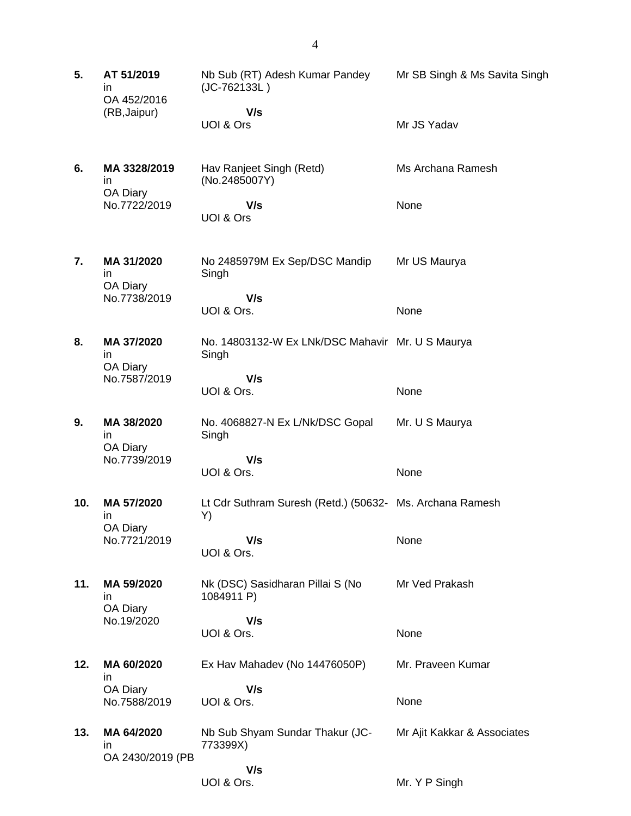| 5.  | AT 51/2019<br>in.<br>OA 452/2016<br>(RB, Jaipur) | Nb Sub (RT) Adesh Kumar Pandey<br>(JC-762133L)<br>V/s          | Mr SB Singh & Ms Savita Singh |
|-----|--------------------------------------------------|----------------------------------------------------------------|-------------------------------|
|     |                                                  | UOI & Ors                                                      | Mr JS Yadav                   |
| 6.  | MA 3328/2019<br>in.<br>OA Diary                  | Hav Ranjeet Singh (Retd)<br>(No.2485007Y)                      | Ms Archana Ramesh             |
|     | No.7722/2019                                     | V/s<br>UOI & Ors                                               | None                          |
| 7.  | MA 31/2020<br>in.<br>OA Diary                    | No 2485979M Ex Sep/DSC Mandip<br>Singh                         | Mr US Maurya                  |
|     | No.7738/2019                                     | V/s<br>UOI & Ors.                                              | None                          |
| 8.  | MA 37/2020<br>in.<br>OA Diary                    | No. 14803132-W Ex LNk/DSC Mahavir Mr. U S Maurya<br>Singh      |                               |
|     | No.7587/2019                                     | V/s<br>UOI & Ors.                                              | None                          |
| 9.  | MA 38/2020<br>in<br>OA Diary<br>No.7739/2019     | No. 4068827-N Ex L/Nk/DSC Gopal<br>Singh                       | Mr. U S Maurya                |
|     |                                                  | V/s<br>UOI & Ors.                                              | None                          |
| 10. | MA 57/2020<br>ın<br>OA Diary                     | Lt Cdr Suthram Suresh (Retd.) (50632- Ms. Archana Ramesh<br>Y) |                               |
|     | No.7721/2019                                     | V/s<br>UOI & Ors.                                              | None                          |
| 11. | MA 59/2020<br>in.<br>OA Diary                    | Nk (DSC) Sasidharan Pillai S (No<br>1084911 P)                 | Mr Ved Prakash                |
|     | No.19/2020                                       | V/s<br>UOI & Ors.                                              | None                          |
| 12. | MA 60/2020<br>in.                                | Ex Hav Mahadev (No 14476050P)                                  | Mr. Praveen Kumar             |
|     | OA Diary<br>No.7588/2019                         | V/s<br>UOI & Ors.                                              | None                          |
| 13. | MA 64/2020<br>in.<br>OA 2430/2019 (PB            | Nb Sub Shyam Sundar Thakur (JC-<br>773399X)                    | Mr Ajit Kakkar & Associates   |
|     |                                                  | V/s<br>UOI & Ors.                                              | Mr. Y P Singh                 |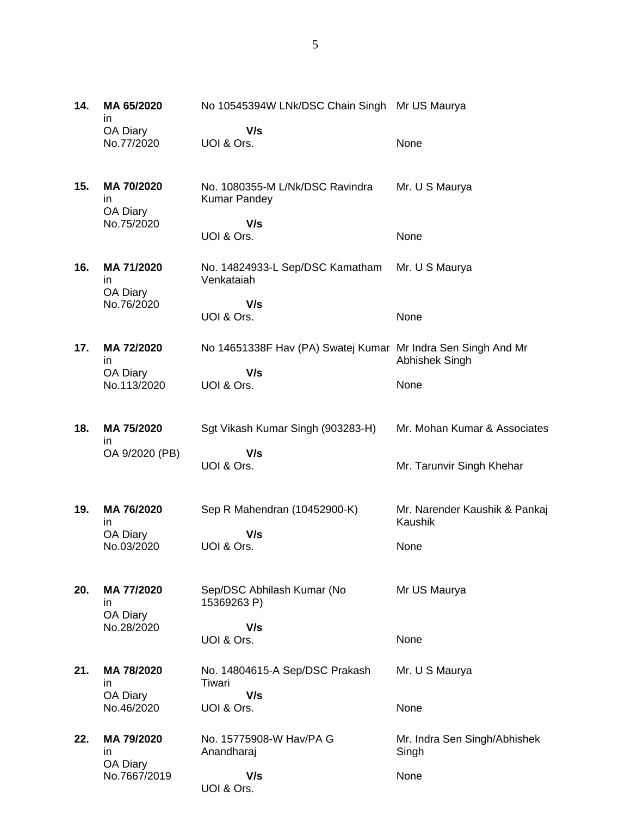| 14. | MA 65/2020<br>in.            | No 10545394W LNk/DSC Chain Singh Mr US Maurya                |                                          |
|-----|------------------------------|--------------------------------------------------------------|------------------------------------------|
|     | OA Diary<br>No.77/2020       | V/s<br>UOI & Ors.                                            | None                                     |
| 15. | MA 70/2020<br>in<br>OA Diary | No. 1080355-M L/Nk/DSC Ravindra<br><b>Kumar Pandey</b>       | Mr. U S Maurya                           |
|     | No.75/2020                   | V/s<br>UOI & Ors.                                            | None                                     |
| 16. | MA 71/2020<br>in<br>OA Diary | No. 14824933-L Sep/DSC Kamatham<br>Venkataiah                | Mr. U S Maurya                           |
|     | No.76/2020                   | V/s<br>UOI & Ors.                                            | None                                     |
| 17. | MA 72/2020<br>in.            | No 14651338F Hav (PA) Swatej Kumar Mr Indra Sen Singh And Mr | Abhishek Singh                           |
|     | OA Diary<br>No.113/2020      | V/s<br>UOI & Ors.                                            | None                                     |
| 18. | MA 75/2020<br>in.            | Sgt Vikash Kumar Singh (903283-H)                            | Mr. Mohan Kumar & Associates             |
|     | OA 9/2020 (PB)               | V/s<br>UOI & Ors.                                            | Mr. Tarunvir Singh Khehar                |
| 19. | MA 76/2020<br>in             | Sep R Mahendran (10452900-K)                                 | Mr. Narender Kaushik & Pankaj<br>Kaushik |
|     | OA Diary<br>No.03/2020       | V/s<br>UOI & Ors.                                            | None                                     |
| 20. | MA 77/2020<br>in<br>OA Diary | Sep/DSC Abhilash Kumar (No<br>15369263 P)                    | Mr US Maurya                             |
|     | No.28/2020                   | V/s<br>UOI & Ors.                                            | None                                     |
| 21. | MA 78/2020<br>in             | No. 14804615-A Sep/DSC Prakash<br>Tiwari                     | Mr. U S Maurya                           |
|     | OA Diary<br>No.46/2020       | V/s<br>UOI & Ors.                                            | None                                     |
| 22. | MA 79/2020<br>in             | No. 15775908-W Hav/PA G<br>Anandharaj                        | Mr. Indra Sen Singh/Abhishek<br>Singh    |
|     | OA Diary<br>No.7667/2019     | V/s<br>UOI & Ors.                                            | None                                     |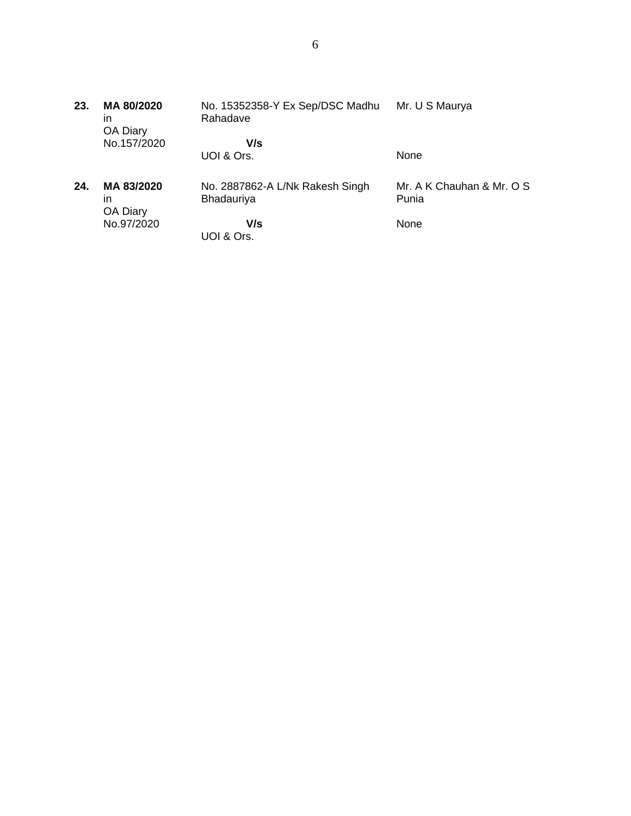| 23. | MA 80/2020<br>in<br>OA Diary | No. 15352358-Y Ex Sep/DSC Madhu<br>Rahadave   | Mr. U S Maurya                     |
|-----|------------------------------|-----------------------------------------------|------------------------------------|
|     | No.157/2020                  | V/s                                           |                                    |
|     |                              | UOI & Ors.                                    | None                               |
| 24. | MA 83/2020<br>ın<br>OA Diary | No. 2887862-A L/Nk Rakesh Singh<br>Bhadauriya | Mr. A K Chauhan & Mr. O S<br>Punia |
|     | No.97/2020                   | V/s                                           | None                               |
|     |                              | UOI & Ors.                                    |                                    |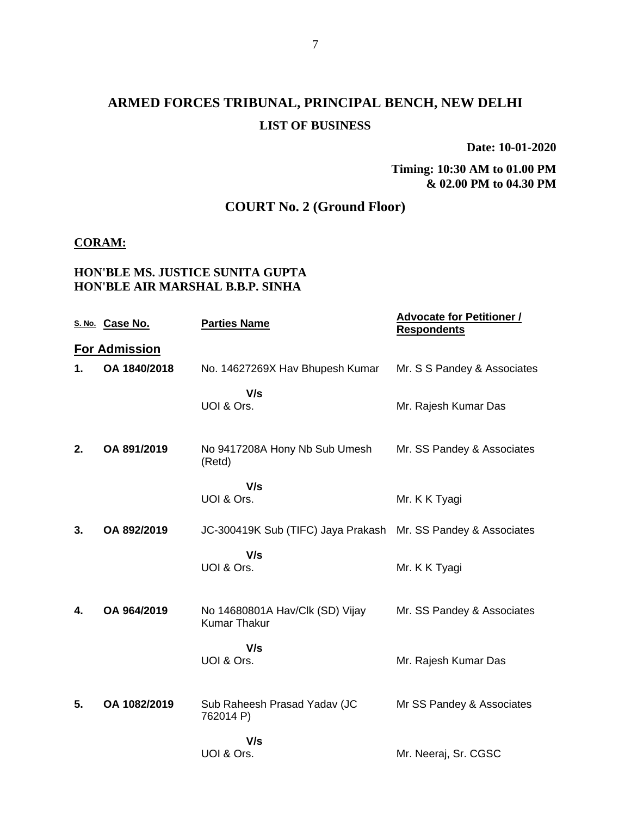# **ARMED FORCES TRIBUNAL, PRINCIPAL BENCH, NEW DELHI LIST OF BUSINESS**

**Date: 10-01-2020**

#### **Timing: 10:30 AM to 01.00 PM & 02.00 PM to 04.30 PM**

## **COURT No. 2 (Ground Floor)**

#### **CORAM:**

### **HON'BLE MS. JUSTICE SUNITA GUPTA HON'BLE AIR MARSHAL B.B.P. SINHA**

|    | S. No. Case No.      | <b>Parties Name</b>                                           | <b>Advocate for Petitioner /</b><br><b>Respondents</b> |
|----|----------------------|---------------------------------------------------------------|--------------------------------------------------------|
|    | <b>For Admission</b> |                                                               |                                                        |
| 1. | OA 1840/2018         | No. 14627269X Hav Bhupesh Kumar                               | Mr. S S Pandey & Associates                            |
|    |                      | V/s<br>UOI & Ors.                                             | Mr. Rajesh Kumar Das                                   |
| 2. | OA 891/2019          | No 9417208A Hony Nb Sub Umesh<br>(Retd)                       | Mr. SS Pandey & Associates                             |
|    |                      | V/s<br>UOI & Ors.                                             | Mr. K K Tyagi                                          |
| 3. | OA 892/2019          | JC-300419K Sub (TIFC) Jaya Prakash Mr. SS Pandey & Associates |                                                        |
|    |                      | V/s<br>UOI & Ors.                                             | Mr. K K Tyagi                                          |
| 4. | OA 964/2019          | No 14680801A Hav/Clk (SD) Vijay<br><b>Kumar Thakur</b>        | Mr. SS Pandey & Associates                             |
|    |                      | V/s<br>UOI & Ors.                                             | Mr. Rajesh Kumar Das                                   |
| 5. | OA 1082/2019         | Sub Raheesh Prasad Yadav (JC<br>762014 P)                     | Mr SS Pandey & Associates                              |
|    |                      | V/s<br>UOI & Ors.                                             | Mr. Neeraj, Sr. CGSC                                   |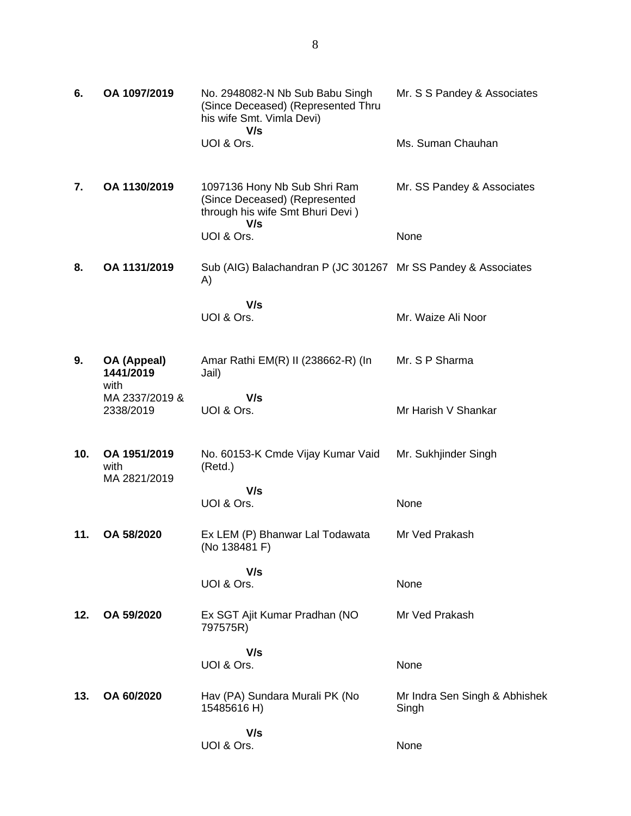| 6.  | OA 1097/2019                         | No. 2948082-N Nb Sub Babu Singh<br>(Since Deceased) (Represented Thru<br>his wife Smt. Vimla Devi)<br>V/s | Mr. S S Pandey & Associates            |
|-----|--------------------------------------|-----------------------------------------------------------------------------------------------------------|----------------------------------------|
|     |                                      | UOI & Ors.                                                                                                | Ms. Suman Chauhan                      |
| 7.  | OA 1130/2019                         | 1097136 Hony Nb Sub Shri Ram<br>(Since Deceased) (Represented<br>through his wife Smt Bhuri Devi)<br>V/s  | Mr. SS Pandey & Associates             |
|     |                                      | UOI & Ors.                                                                                                | None                                   |
| 8.  | OA 1131/2019                         | Sub (AIG) Balachandran P (JC 301267 Mr SS Pandey & Associates<br>A)                                       |                                        |
|     |                                      | V/s<br>UOI & Ors.                                                                                         | Mr. Waize Ali Noor                     |
|     |                                      |                                                                                                           |                                        |
| 9.  | OA (Appeal)<br>1441/2019<br>with     | Amar Rathi EM(R) II (238662-R) (In<br>Jail)                                                               | Mr. S P Sharma                         |
|     | MA 2337/2019 &<br>2338/2019          | V/s<br>UOI & Ors.                                                                                         | Mr Harish V Shankar                    |
| 10. | OA 1951/2019<br>with<br>MA 2821/2019 | No. 60153-K Cmde Vijay Kumar Vaid<br>(Retd.)                                                              | Mr. Sukhjinder Singh                   |
|     |                                      | V/s<br>UOI & Ors.                                                                                         | None                                   |
| 11. | OA 58/2020                           | Ex LEM (P) Bhanwar Lal Todawata<br>(No 138481 F)                                                          | Mr Ved Prakash                         |
|     |                                      | V/s<br>UOI & Ors.                                                                                         | None                                   |
| 12. | OA 59/2020                           | Ex SGT Ajit Kumar Pradhan (NO<br>797575R)                                                                 | Mr Ved Prakash                         |
|     |                                      | V/s                                                                                                       |                                        |
|     |                                      | UOI & Ors.                                                                                                | None                                   |
| 13. | OA 60/2020                           | Hav (PA) Sundara Murali PK (No<br>15485616 H)                                                             | Mr Indra Sen Singh & Abhishek<br>Singh |
|     |                                      | V/s<br>UOI & Ors.                                                                                         | None                                   |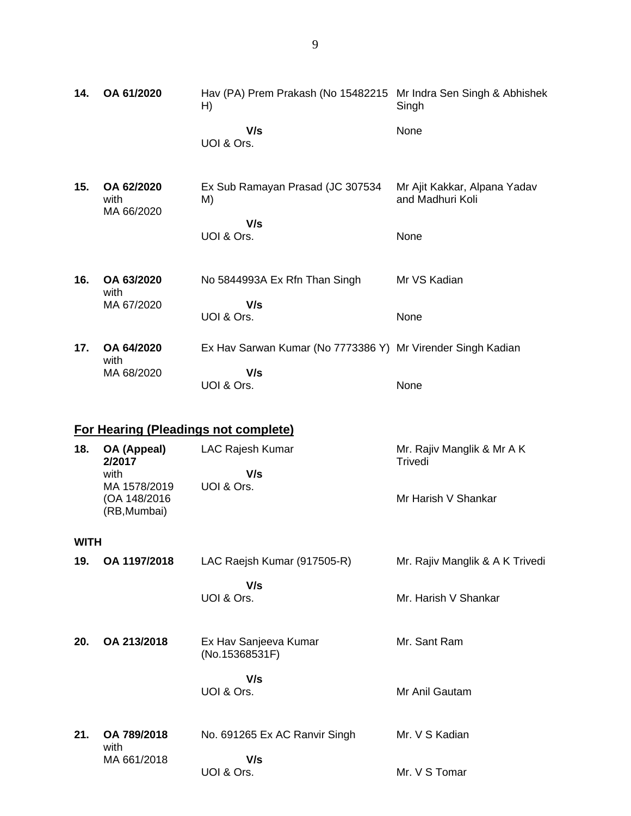**14. OA 61/2020** Hav (PA) Prem Prakash (No 15482215 Mr Indra Sen Singh & Abhishek H)  **V/s** UOI & Ors. Singh None **15. OA 62/2020** with MA 66/2020 Ex Sub Ramayan Prasad (JC 307534 M)  **V/s** UOI & Ors. Mr Ajit Kakkar, Alpana Yadav and Madhuri Koli None **16. OA 63/2020** with MA 67/2020 No 5844993A Ex Rfn Than Singh  **V/s** UOI & Ors. Mr VS Kadian None **17. OA 64/2020** with MA 68/2020 Ex Hav Sarwan Kumar (No 7773386 Y) Mr Virender Singh Kadian  **V/s** UOI & Ors. None

### **For Hearing (Pleadings not complete)**

| 18. | OA (Appeal)<br>2/2017         | <b>LAC Rajesh Kumar</b> | Mr. Rajiv Manglik & Mr A K<br>Trivedi |
|-----|-------------------------------|-------------------------|---------------------------------------|
|     | with                          | V/s                     |                                       |
|     | MA 1578/2019                  | UOI & Ors.              |                                       |
|     | (OA 148/2016)<br>(RB, Mumbai) |                         | Mr Harish V Shankar                   |
|     |                               |                         |                                       |

#### **WITH**

| 19. | OA 1197/2018        | LAC Raejsh Kumar (917505-R)             | Mr. Rajiv Manglik & A K Trivedi |
|-----|---------------------|-----------------------------------------|---------------------------------|
|     |                     | V/s<br>UOI & Ors.                       | Mr. Harish V Shankar            |
| 20. | OA 213/2018         | Ex Hav Sanjeeva Kumar<br>(No.15368531F) | Mr. Sant Ram                    |
|     |                     | V/s<br>UOI & Ors.                       | Mr Anil Gautam                  |
| 21. | OA 789/2018<br>with | No. 691265 Ex AC Ranvir Singh           | Mr. V S Kadian                  |
|     | MA 661/2018         | V/s<br>UOI & Ors.                       | Mr. V S Tomar                   |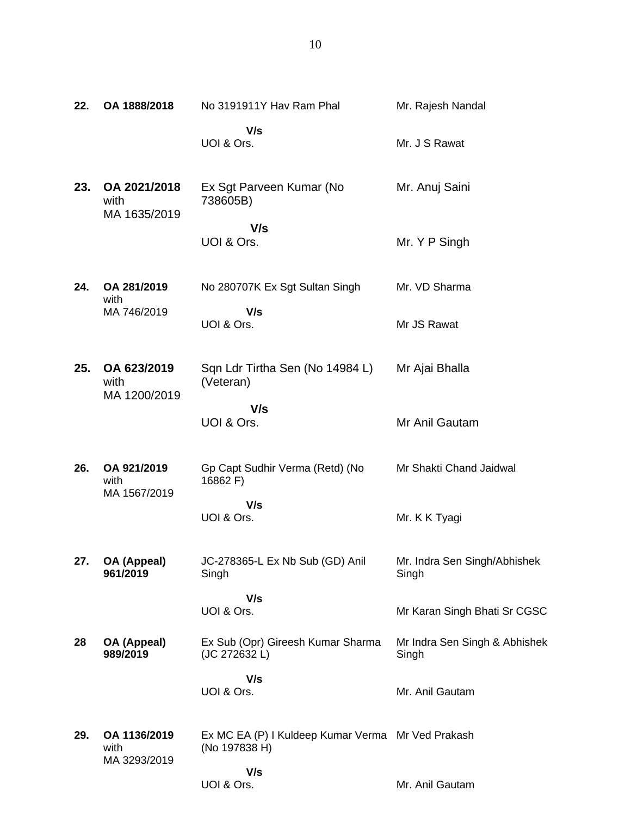| 22. | OA 1888/2018                         | No 3191911Y Hav Ram Phal                                           | Mr. Rajesh Nandal                      |
|-----|--------------------------------------|--------------------------------------------------------------------|----------------------------------------|
|     |                                      | V/s<br>UOI & Ors.                                                  | Mr. J S Rawat                          |
| 23. | OA 2021/2018<br>with<br>MA 1635/2019 | Ex Sgt Parveen Kumar (No<br>738605B)                               | Mr. Anuj Saini                         |
|     |                                      | V/s<br>UOI & Ors.                                                  | Mr. Y P Singh                          |
| 24. | OA 281/2019<br>with                  | No 280707K Ex Sgt Sultan Singh                                     | Mr. VD Sharma                          |
|     | MA 746/2019                          | V/s<br>UOI & Ors.                                                  | Mr JS Rawat                            |
| 25. | OA 623/2019<br>with<br>MA 1200/2019  | Sqn Ldr Tirtha Sen (No 14984 L)<br>(Veteran)                       | Mr Ajai Bhalla                         |
|     |                                      | V/s<br>UOI & Ors.                                                  | Mr Anil Gautam                         |
| 26. | OA 921/2019<br>with<br>MA 1567/2019  | Gp Capt Sudhir Verma (Retd) (No<br>16862 F)                        | Mr Shakti Chand Jaidwal                |
|     |                                      | V/s<br>UOI & Ors.                                                  | Mr. K K Tyagi                          |
| 27. | OA (Appeal)<br>961/2019              | JC-278365-L Ex Nb Sub (GD) Anil<br>Singh                           | Mr. Indra Sen Singh/Abhishek<br>Singh  |
|     |                                      | V/s<br>UOI & Ors.                                                  | Mr Karan Singh Bhati Sr CGSC           |
| 28  | OA (Appeal)<br>989/2019              | Ex Sub (Opr) Gireesh Kumar Sharma<br>(JC 272632 L)                 | Mr Indra Sen Singh & Abhishek<br>Singh |
|     |                                      | V/s<br>UOI & Ors.                                                  | Mr. Anil Gautam                        |
| 29. | OA 1136/2019<br>with<br>MA 3293/2019 | Ex MC EA (P) I Kuldeep Kumar Verma Mr Ved Prakash<br>(No 197838 H) |                                        |
|     |                                      | V/s<br>UOI & Ors.                                                  | Mr. Anil Gautam                        |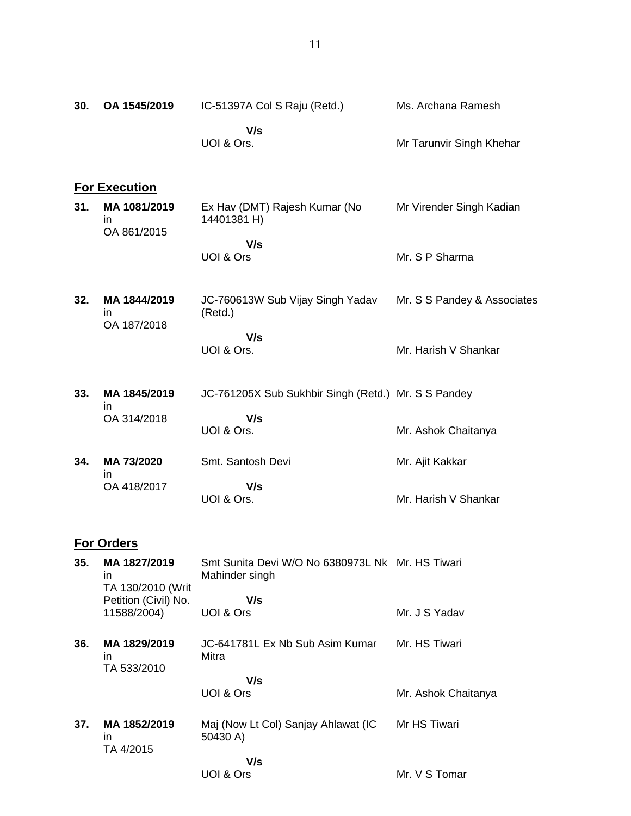| 30. | OA 1545/2019                            | IC-51397A Col S Raju (Retd.)                                       | Ms. Archana Ramesh          |
|-----|-----------------------------------------|--------------------------------------------------------------------|-----------------------------|
|     |                                         | V/s<br>UOI & Ors.                                                  | Mr Tarunvir Singh Khehar    |
|     | <b>For Execution</b>                    |                                                                    |                             |
| 31. | MA 1081/2019<br>in<br>OA 861/2015       | Ex Hav (DMT) Rajesh Kumar (No<br>14401381 H)                       | Mr Virender Singh Kadian    |
|     |                                         | V/s<br>UOI & Ors                                                   | Mr. S P Sharma              |
| 32. | MA 1844/2019<br>in.<br>OA 187/2018      | JC-760613W Sub Vijay Singh Yadav<br>(Retd.)                        | Mr. S S Pandey & Associates |
|     |                                         | V/s<br>UOI & Ors.                                                  | Mr. Harish V Shankar        |
| 33. | MA 1845/2019<br>ın                      | JC-761205X Sub Sukhbir Singh (Retd.) Mr. S S Pandey                |                             |
|     | OA 314/2018                             | V/s<br>UOI & Ors.                                                  | Mr. Ashok Chaitanya         |
| 34. | MA 73/2020<br>in.                       | Smt. Santosh Devi                                                  | Mr. Ajit Kakkar             |
|     | OA 418/2017                             | V/s<br>UOI & Ors.                                                  | Mr. Harish V Shankar        |
|     | <b>For Orders</b>                       |                                                                    |                             |
| 35. | MA 1827/2019<br>in<br>TA 130/2010 (Writ | Smt Sunita Devi W/O No 6380973L Nk Mr. HS Tiwari<br>Mahinder singh |                             |
|     | Petition (Civil) No.<br>11588/2004)     | V/s<br>UOI & Ors                                                   | Mr. J S Yadav               |
| 36. | MA 1829/2019<br>in.<br>TA 533/2010      | JC-641781L Ex Nb Sub Asim Kumar<br>Mitra                           | Mr. HS Tiwari               |
|     |                                         | V/s<br>UOI & Ors                                                   | Mr. Ashok Chaitanya         |
| 37. | MA 1852/2019<br>in.<br>TA 4/2015        | Maj (Now Lt Col) Sanjay Ahlawat (IC<br>50430 A)                    | Mr HS Tiwari                |
|     |                                         | V/s<br>UOI & Ors                                                   | Mr. V S Tomar               |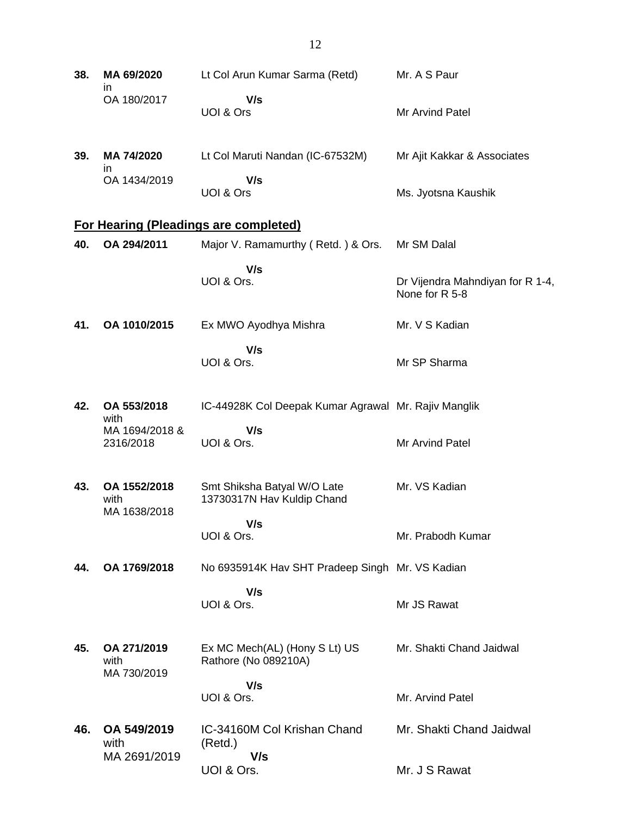| 38. | MA 69/2020<br>$\mathsf{I}$           | Lt Col Arun Kumar Sarma (Retd)                            | Mr. A S Paur                                       |
|-----|--------------------------------------|-----------------------------------------------------------|----------------------------------------------------|
|     | OA 180/2017                          | V/s<br>UOI & Ors                                          | Mr Arvind Patel                                    |
| 39. | MA 74/2020<br>ın                     | Lt Col Maruti Nandan (IC-67532M)                          | Mr Ajit Kakkar & Associates                        |
|     | OA 1434/2019                         | V/s<br>UOI & Ors                                          | Ms. Jyotsna Kaushik                                |
|     |                                      | <b>For Hearing (Pleadings are completed)</b>              |                                                    |
| 40. | OA 294/2011                          | Major V. Ramamurthy (Retd.) & Ors.                        | Mr SM Dalal                                        |
|     |                                      | V/s<br>UOI & Ors.                                         | Dr Vijendra Mahndiyan for R 1-4,<br>None for R 5-8 |
| 41. | OA 1010/2015                         | Ex MWO Ayodhya Mishra                                     | Mr. V S Kadian                                     |
|     |                                      | V/s<br>UOI & Ors.                                         | Mr SP Sharma                                       |
| 42. | OA 553/2018                          | IC-44928K Col Deepak Kumar Agrawal Mr. Rajiv Manglik      |                                                    |
|     | with<br>MA 1694/2018 &<br>2316/2018  | V/s<br>UOI & Ors.                                         | Mr Arvind Patel                                    |
| 43. | OA 1552/2018<br>with<br>MA 1638/2018 | Smt Shiksha Batyal W/O Late<br>13730317N Hav Kuldip Chand | Mr. VS Kadian                                      |
|     |                                      | V/s<br>UOI & Ors.                                         | Mr. Prabodh Kumar                                  |
| 44. | OA 1769/2018                         | No 6935914K Hav SHT Pradeep Singh Mr. VS Kadian           |                                                    |
|     |                                      | V/s<br>UOI & Ors.                                         | Mr JS Rawat                                        |
| 45. | OA 271/2019<br>with<br>MA 730/2019   | Ex MC Mech(AL) (Hony S Lt) US<br>Rathore (No 089210A)     | Mr. Shakti Chand Jaidwal                           |
|     |                                      | V/s<br>UOI & Ors.                                         | Mr. Arvind Patel                                   |
| 46. | OA 549/2019<br>with<br>MA 2691/2019  | IC-34160M Col Krishan Chand<br>(Retd.)<br>V/s             | Mr. Shakti Chand Jaidwal                           |
|     |                                      | UOI & Ors.                                                | Mr. J S Rawat                                      |